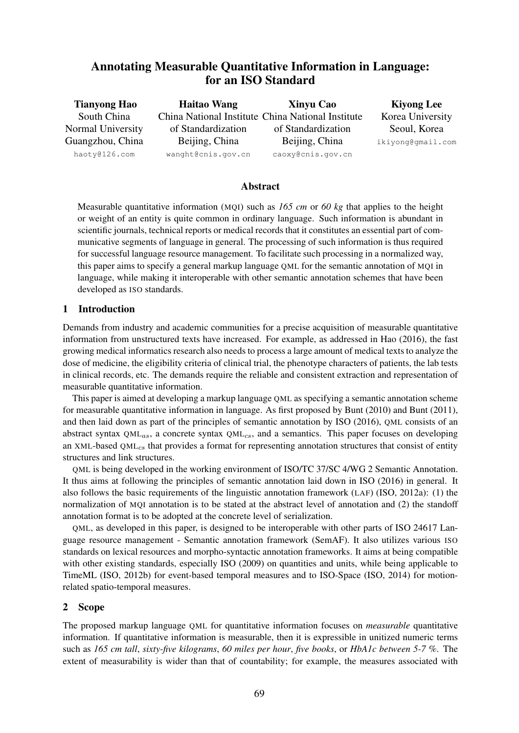# Annotating Measurable Quantitative Information in Language: for an ISO Standard

| <b>Tianyong Hao</b> | <b>Haitao Wang</b> | <b>Xinyu Cao</b>                                  | <b>Kiyong Lee</b> |  |
|---------------------|--------------------|---------------------------------------------------|-------------------|--|
| South China         |                    | China National Institute China National Institute | Korea University  |  |
| Normal University   | of Standardization | of Standardization                                | Seoul, Korea      |  |
| Guangzhou, China    | Beijing, China     | Beijing, China                                    | ikiyong@gmail.com |  |
| haoty@126.com       | wanght@cnis.gov.cn | caoxy@cnis.gov.cn                                 |                   |  |

# Abstract

Measurable quantitative information (MQI) such as *165 cm* or *60 kg* that applies to the height or weight of an entity is quite common in ordinary language. Such information is abundant in scientific journals, technical reports or medical records that it constitutes an essential part of communicative segments of language in general. The processing of such information is thus required for successful language resource management. To facilitate such processing in a normalized way, this paper aims to specify a general markup language QML for the semantic annotation of MQI in language, while making it interoperable with other semantic annotation schemes that have been developed as ISO standards.

# 1 Introduction

Demands from industry and academic communities for a precise acquisition of measurable quantitative information from unstructured texts have increased. For example, as addressed in Hao (2016), the fast growing medical informatics research also needs to process a large amount of medical texts to analyze the dose of medicine, the eligibility criteria of clinical trial, the phenotype characters of patients, the lab tests in clinical records, etc. The demands require the reliable and consistent extraction and representation of measurable quantitative information.

This paper is aimed at developing a markup language QML as specifying a semantic annotation scheme for measurable quantitative information in language. As first proposed by Bunt (2010) and Bunt (2011), and then laid down as part of the principles of semantic annotation by ISO (2016), QML consists of an abstract syntax  $QML_{as}$ , a concrete syntax  $QML_{cs}$ , and a semantics. This paper focuses on developing an XML-based QML<sub>cs</sub> that provides a format for representing annotation structures that consist of entity structures and link structures.

QML is being developed in the working environment of ISO/TC 37/SC 4/WG 2 Semantic Annotation. It thus aims at following the principles of semantic annotation laid down in ISO (2016) in general. It also follows the basic requirements of the linguistic annotation framework (LAF) (ISO, 2012a): (1) the normalization of MQI annotation is to be stated at the abstract level of annotation and (2) the standoff annotation format is to be adopted at the concrete level of serialization.

QML, as developed in this paper, is designed to be interoperable with other parts of ISO 24617 Language resource management - Semantic annotation framework (SemAF). It also utilizes various ISO standards on lexical resources and morpho-syntactic annotation frameworks. It aims at being compatible with other existing standards, especially ISO (2009) on quantities and units, while being applicable to TimeML (ISO, 2012b) for event-based temporal measures and to ISO-Space (ISO, 2014) for motionrelated spatio-temporal measures.

# 2 Scope

The proposed markup language QML for quantitative information focuses on *measurable* quantitative information. If quantitative information is measurable, then it is expressible in unitized numeric terms such as *165 cm tall*, *sixty-five kilograms*, *60 miles per hour*, *five books*, or *HbA1c between 5-7 %*. The extent of measurability is wider than that of countability; for example, the measures associated with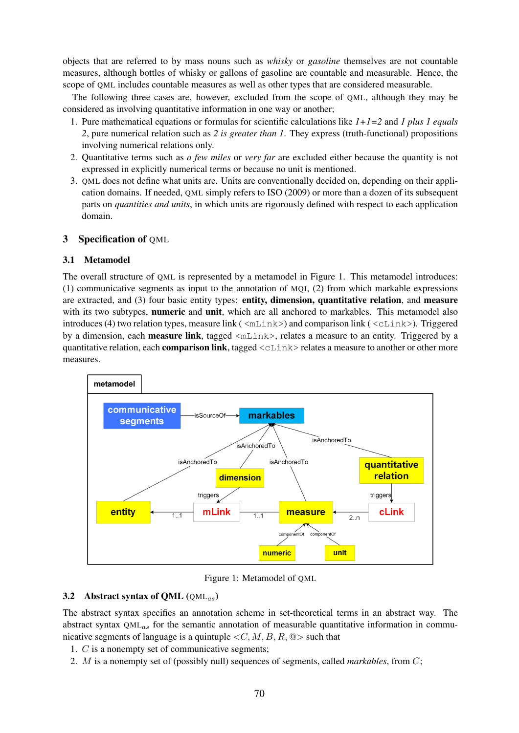objects that are referred to by mass nouns such as *whisky* or *gasoline* themselves are not countable measures, although bottles of whisky or gallons of gasoline are countable and measurable. Hence, the scope of QML includes countable measures as well as other types that are considered measurable.

The following three cases are, however, excluded from the scope of QML, although they may be considered as involving quantitative information in one way or another;

- 1. Pure mathematical equations or formulas for scientific calculations like *1+1=2* and *1 plus 1 equals 2*, pure numerical relation such as *2 is greater than 1*. They express (truth-functional) propositions involving numerical relations only.
- 2. Quantitative terms such as *a few miles* or *very far* are excluded either because the quantity is not expressed in explicitly numerical terms or because no unit is mentioned.
- 3. QML does not define what units are. Units are conventionally decided on, depending on their application domains. If needed, QML simply refers to ISO (2009) or more than a dozen of its subsequent parts on *quantities and units*, in which units are rigorously defined with respect to each application domain.

# 3 Specification of QML

### 3.1 Metamodel

The overall structure of QML is represented by a metamodel in Figure 1. This metamodel introduces: (1) communicative segments as input to the annotation of MQI, (2) from which markable expressions are extracted, and (3) four basic entity types: entity, dimension, quantitative relation, and measure with its two subtypes, **numeric** and **unit**, which are all anchored to markables. This metamodel also introduces (4) two relation types, measure link ( $\langle \text{mLink}\rangle$ ) and comparison link ( $\langle \text{cLink}\rangle$ ). Triggered by a dimension, each **measure link**, tagged  $\langle m \rangle$  has a measure to an entity. Triggered by a quantitative relation, each **comparison link**, tagged  $\langle$ cLink> relates a measure to another or other more measures.



Figure 1: Metamodel of QML

# 3.2 Abstract syntax of OML  $(OML_{as})$

The abstract syntax specifies an annotation scheme in set-theoretical terms in an abstract way. The abstract syntax  $QML_{as}$  for the semantic annotation of measurable quantitative information in communicative segments of language is a quintuple  $\langle C, M, B, R, \mathbb{Q} \rangle$  such that

- 1. C is a nonempty set of communicative segments;
- 2. M is a nonempty set of (possibly null) sequences of segments, called *markables*, from C;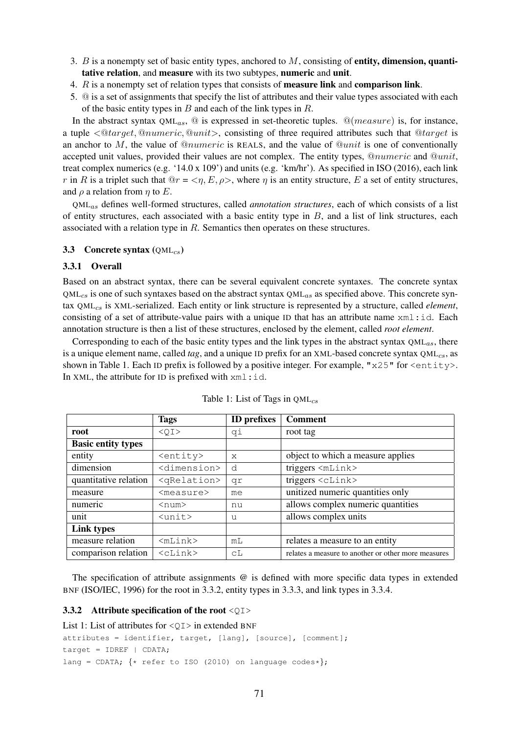- 3.  $B$  is a nonempty set of basic entity types, anchored to  $M$ , consisting of **entity, dimension, quanti**tative relation, and measure with its two subtypes, numeric and unit.
- 4. R is a nonempty set of relation types that consists of measure link and comparison link.
- 5. @ is a set of assignments that specify the list of attributes and their value types associated with each of the basic entity types in  $B$  and each of the link types in  $R$ .

In the abstract syntax  $QML_{as}$ ,  $\textcircled{a}$  is expressed in set-theoretic tuples.  $\textcircled{a}(measure)$  is, for instance, a tuple  $\langle \mathcal{Q} \text{target}, \mathcal{Q} \text{numeric}, \mathcal{Q} \text{unit} \rangle$ , consisting of three required attributes such that  $\mathcal{Q} \text{target}$  is an anchor to M, the value of  $@numeric$  is REALS, and the value of  $@unit$  is one of conventionally accepted unit values, provided their values are not complex. The entity types,  $@numeric$  and  $@unit$ , treat complex numerics (e.g. '14.0 x 109') and units (e.g. 'km/hr'). As specified in ISO (2016), each link r in R is a triplet such that  $\mathbb{Q}r = \langle \eta, E, \rho \rangle$ , where  $\eta$  is an entity structure, E a set of entity structures, and  $\rho$  a relation from  $\eta$  to E.

QMLas defines well-formed structures, called *annotation structures*, each of which consists of a list of entity structures, each associated with a basic entity type in  $B$ , and a list of link structures, each associated with a relation type in R. Semantics then operates on these structures.

## 3.3 Concrete syntax  $(QML_{CS})$

### 3.3.1 Overall

Based on an abstract syntax, there can be several equivalent concrete syntaxes. The concrete syntax  $QML_{cs}$  is one of such syntaxes based on the abstract syntax  $QML_{as}$  as specified above. This concrete syntax QML<sub>cs</sub> is XML-serialized. Each entity or link structure is represented by a structure, called *element*, consisting of a set of attribute-value pairs with a unique ID that has an attribute name  $xml$ :id. Each annotation structure is then a list of these structures, enclosed by the element, called *root element*.

Corresponding to each of the basic entity types and the link types in the abstract syntax  $OML_{as}$ , there is a unique element name, called *tag*, and a unique ID prefix for an XML-based concrete syntax QML<sub>cs</sub>, as shown in Table 1. Each ID prefix is followed by a positive integer. For example, " $x25$ " for  $\leq$ ntity>. In XML, the attribute for ID is prefixed with  $xml$ :id.

|                           | <b>Tags</b>              | <b>ID</b> prefixes | <b>Comment</b>                                      |
|---------------------------|--------------------------|--------------------|-----------------------------------------------------|
| root                      | $<$ OI>                  | qi                 | root tag                                            |
| <b>Basic entity types</b> |                          |                    |                                                     |
| entity                    | <entity></entity>        | X                  | object to which a measure applies                   |
| dimension                 | <dimension></dimension>  | d                  | triggers <mlink></mlink>                            |
| quantitative relation     | <qrelation></qrelation>  | qr                 | triggers $\langle$ cLink $\rangle$                  |
| measure                   | <measure></measure>      | me                 | unitized numeric quantities only                    |
| numeric                   | $<$ num $>$              | nu                 | allows complex numeric quantities                   |
| unit                      | $\langle$ unit $\rangle$ | บ                  | allows complex units                                |
| Link types                |                          |                    |                                                     |
| measure relation          | $<$ m $Link$             | m <sub>L</sub>     | relates a measure to an entity                      |
| comparison relation       | $<$ c $\text{Link}$      | сL                 | relates a measure to another or other more measures |

| Table 1: List of Tags in $QML_{cs}$ |  |  |
|-------------------------------------|--|--|
|-------------------------------------|--|--|

The specification of attribute assignments @ is defined with more specific data types in extended BNF (ISO/IEC, 1996) for the root in 3.3.2, entity types in 3.3.3, and link types in 3.3.4.

#### 3.3.2 Attribute specification of the root  $\langle$ OI>

```
List 1: List of attributes for \langle \circ \rangle in extended BNF
```

```
attributes = identifier, target, [lang], [source], [comment];
target = IDREF | CDATA;
lang = CDATA; \{ * \text{ refer to ISO (2010) on language codes*} \};
```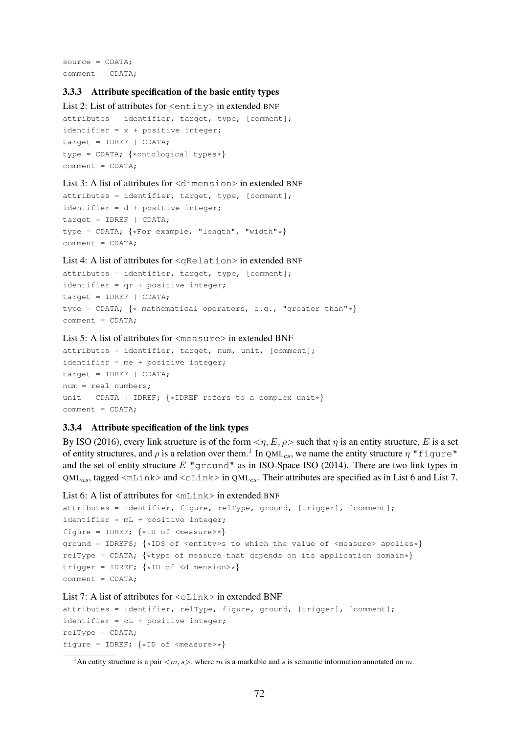source = CDATA; comment = CDATA;

#### 3.3.3 Attribute specification of the basic entity types

```
List 2: List of attributes for \leqntity> in extended BNF
attributes = identifier, target, type, [comment];
identifier = x + positive integer;target = IDREF | CDATA;
type = CDATA; \{*\text{ontological types}*\}comment = CDATA;
```
#### List 3: A list of attributes for  $\langle$  dimension> in extended BNF

```
attributes = identifier, target, type, [comment];
identifier = d + positive integer;
target = IDREF | CDATA;
type = CDATA; \{ * For example, "length", "width"*}
comment = CDATA;
```
#### List 4: A list of attributes for <qRelation> in extended BNF

```
attributes = identifier, target, type, [comment];
identifier = qr + positive integer;target = IDREF | CDATA;
type = CDATA; {* mathematical operators, e.g., "greater than"*}
comment = CDATA;
```
# List 5: A list of attributes for <measure> in extended BNF

```
attributes = identifier, target, num, unit, [comment];
identifier = me + positive integer;
target = IDENTER | CDATA;num = real numbers;
unit = CDATA | IDREF; \{ * \text{IDREF} refers to a complex unit *}
comment = CDATA;
```
## 3.3.4 Attribute specification of the link types

By ISO (2016), every link structure is of the form  $\langle \eta, E, \rho \rangle$  such that  $\eta$  is an entity structure, E is a set of entity structures, and  $\rho$  is a relation over them.<sup>1</sup> In QML<sub>cs</sub>, we name the entity structure  $\eta$  "figure" and the set of entity structure  $E$  "ground" as in ISO-Space ISO (2014). There are two link types in  $QML_{as}$ , tagged  $\langle$ mLink> and  $\langle$ cLink> in QML<sub>cs</sub>. Their attributes are specified as in List 6 and List 7.

```
List 6: A list of attributes for \langle m_{\text{Link}} \rangle in extended BNF
```

```
attributes = identifier, figure, relType, ground, [trigger], [comment];
identifier = mL + positive integer;figure = IDREF; \{ *ID \text{ of } \leq \text{measure} > * \}ground = IDREFS; {*IDS of <entity>s to which the value of <measure> applies*}
relType = CDATA; \{ *type of measure that depends on its application domain* \}trigger = IDREF; \{ *ID \text{ of } \langle \text{dimension} \rangle * \}comment = CDATA:
```
### List 7: A list of attributes for  $\langle c \rangle$  clink in extended BNF

```
attributes = identifier, relType, figure, ground, [trigger], [comment];
identifier = cL + positive integer;
relType = CDATA;figure = IDREF; \{ *ID \text{ of } \leq \text{measure} > * \}
```
<sup>&</sup>lt;sup>1</sup>An entity structure is a pair  $\langle m, s \rangle$ , where m is a markable and s is semantic information annotated on m.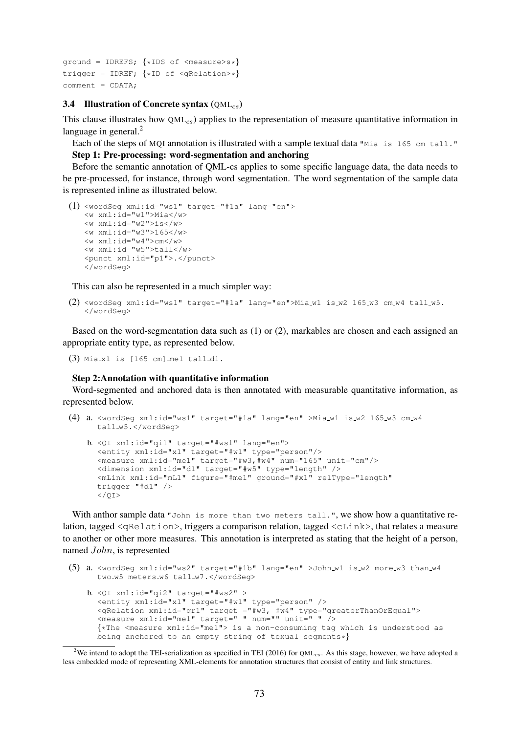```
ground = IDREFS; {*IDS of <measure>s*}
trigger = IDREF; \{ *ID \text{ of } \leq R\}comment = CDATA;
```
#### 3.4 Illustration of Concrete syntax  $(QML_{cs})$

This clause illustrates how  $OM_{CS}$ ) applies to the representation of measure quantitative information in language in general. $<sup>2</sup>$ </sup>

Each of the steps of MQI annotation is illustrated with a sample textual data "Mia is 165 cm tall." Step 1: Pre-processing: word-segmentation and anchoring

Before the semantic annotation of QML-cs applies to some specific language data, the data needs to be pre-processed, for instance, through word segmentation. The word segmentation of the sample data is represented inline as illustrated below.

```
(1) <wordSeg xml:id="ws1" target="#1a" lang="en">
    <w xml:id="w1">Mia</w>
    \langle w \rangle xml:id="w2">is\langle w \rangle<w xml:id="w3">165</w>
    \langle w \; xm1:id="w4">\text{cm}\langle/w\rangle<w xml:id="w5">tall</w>
    <punct xml:id="p1">.</punct>
    </wordSeg>
```
This can also be represented in a much simpler way:

```
(2) <wordSeg xml:id="ws1" target="#1a" lang="en">Mia_w1 is_w2 165_w3 cm_w4 tall_w5.
   </wordSeg>
```
Based on the word-segmentation data such as (1) or (2), markables are chosen and each assigned an appropriate entity type, as represented below.

 $(3)$  Mia\_x1 is  $[165 \text{ cm}]$  me1 tall\_d1.

 $<$ / $O$ T $>$ 

#### Step 2:Annotation with quantitative information

Word-segmented and anchored data is then annotated with measurable quantitative information, as represented below.

```
(4) a. <wordSeg xml:id="ws1" target="#1a" lang="en" >Mia_w1 is_w2 165_w3 cm_w4
     tall w5.</wordSeg>
   b. <QI xml:id="qi1" target="#ws1" lang="en">
      <entity xml:id="x1" target="#w1" type="person"/>
      <measure xml:id="me1" target="#w3,#w4" num="165" unit="cm"/>
      <dimension xml:id="d1" target="#w5" type="length" />
      <mLink xml:id="mL1" figure="#me1" ground="#x1" relType="length"
      trigger="#d1" />
```
With anthor sample data "John is more than two meters tall.", we show how a quantitative relation, tagged <qRelation>, triggers a comparison relation, tagged <cLink>, that relates a measure to another or other more measures. This annotation is interpreted as stating that the height of a person, named John, is represented

```
(5) a. \leq \leq \leq \leq \leq \leq \leq \leq \leq \leq \leq \leq \leq \leq \leq \leq \leq \leq \leq \leq \leq \leq \leq \leq \leq \leq \leq \leq \leq \leq \leq \leq \leq \leq \leq \leqtwo w5 meters w6 tall w7. </wordSeq>
    b. QI xml:id="qi2" target="#ws2" >
       <entity xml:id="x1" target="#w1" type="person" />
        <qRelation xml:id="qr1" target ="#w3, #w4" type="greaterThanOrEqual">
        \frac{1}{2} <measure xml:id="me1" target=" " num="" unit=" " />
        {*The <measure xml:id="me1"> is a non-consuming tag which is understood as
       being anchored to an empty string of texual segments*}
```
<sup>2</sup>We intend to adopt the TEI-serialization as specified in TEI (2016) for  $QML_{cs}$ . As this stage, however, we have adopted a less embedded mode of representing XML-elements for annotation structures that consist of entity and link structures.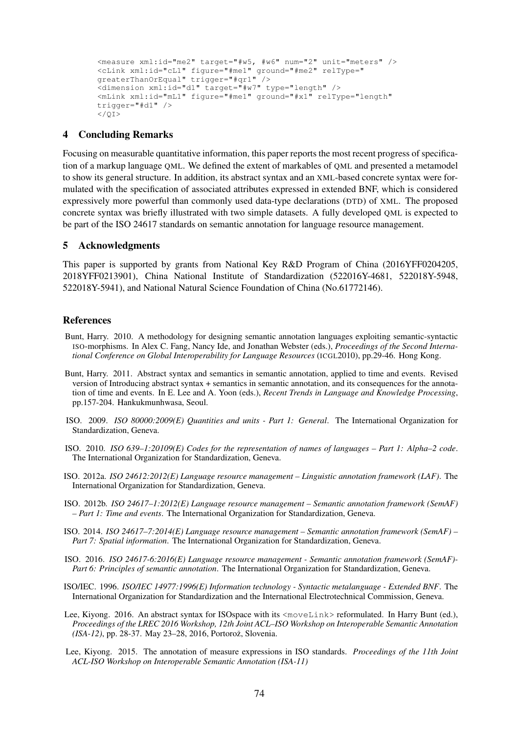```
<measure xml:id="me2" target="#w5, #w6" num="2" unit="meters" />
<cLink xml:id="cL1" figure="#me1" ground="#me2" relType="
greaterThanOrEqual" trigger="#qr1" />
<dimension xml:id="d1" target="#w7" type="length" />
<mLink xml:id="mL1" figure="#me1" ground="#x1" relType="length"
trigger="#d1" />
\langle/\capT>
```
## 4 Concluding Remarks

Focusing on measurable quantitative information, this paper reports the most recent progress of specification of a markup language QML. We defined the extent of markables of QML and presented a metamodel to show its general structure. In addition, its abstract syntax and an XML-based concrete syntax were formulated with the specification of associated attributes expressed in extended BNF, which is considered expressively more powerful than commonly used data-type declarations (DTD) of XML. The proposed concrete syntax was briefly illustrated with two simple datasets. A fully developed QML is expected to be part of the ISO 24617 standards on semantic annotation for language resource management.

# 5 Acknowledgments

This paper is supported by grants from National Key R&D Program of China (2016YFF0204205, 2018YFF0213901), China National Institute of Standardization (522016Y-4681, 522018Y-5948, 522018Y-5941), and National Natural Science Foundation of China (No.61772146).

### References

- Bunt, Harry. 2010. A methodology for designing semantic annotation languages exploiting semantic-syntactic ISO-morphisms. In Alex C. Fang, Nancy Ide, and Jonathan Webster (eds.), *Proceedings of the Second International Conference on Global Interoperability for Language Resources* (ICGL2010), pp.29-46. Hong Kong.
- Bunt, Harry. 2011. Abstract syntax and semantics in semantic annotation, applied to time and events. Revised version of Introducing abstract syntax + semantics in semantic annotation, and its consequences for the annotation of time and events. In E. Lee and A. Yoon (eds.), *Recent Trends in Language and Knowledge Processing*, pp.157-204. Hankukmunhwasa, Seoul.
- ISO. 2009. *ISO 80000:2009(E) Quantities and units Part 1: General*. The International Organization for Standardization, Geneva.
- ISO. 2010. *ISO 639–1:20109(E) Codes for the representation of names of languages Part 1: Alpha–2 code*. The International Organization for Standardization, Geneva.
- ISO. 2012a. *ISO 24612:2012(E) Language resource management Linguistic annotation framework (LAF)*. The International Organization for Standardization, Geneva.
- ISO. 2012b. *ISO 24617–1:2012(E) Language resource management Semantic annotation framework (SemAF) – Part 1: Time and events*. The International Organization for Standardization, Geneva.
- ISO. 2014. *ISO 24617–7:2014(E) Language resource management Semantic annotation framework (SemAF) – Part 7: Spatial information*. The International Organization for Standardization, Geneva.
- ISO. 2016. *ISO 24617-6:2016(E) Language resource management Semantic annotation framework (SemAF)- Part 6: Principles of semantic annotation*. The International Organization for Standardization, Geneva.
- ISO/IEC. 1996. *ISO/IEC 14977:1996(E) Information technology Syntactic metalanguage Extended BNF*. The International Organization for Standardization and the International Electrotechnical Commission, Geneva.
- Lee, Kiyong. 2016. An abstract syntax for ISOspace with its <moveLink> reformulated. In Harry Bunt (ed.), *Proceedings of the LREC 2016 Workshop, 12th Joint ACL–ISO Workshop on Interoperable Semantic Annotation (ISA-12)*, pp. 28-37. May 23-28, 2016, Portorož, Slovenia.
- Lee, Kiyong. 2015. The annotation of measure expressions in ISO standards. *Proceedings of the 11th Joint ACL-ISO Workshop on Interoperable Semantic Annotation (ISA-11)*